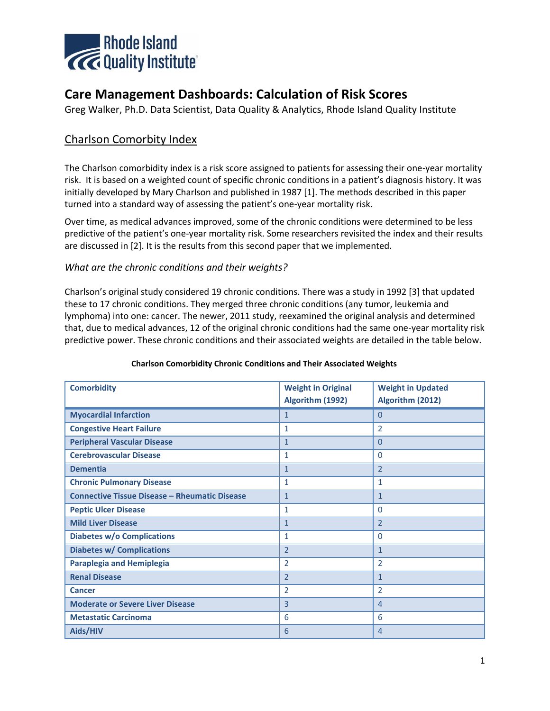

# **Care Management Dashboards: Calculation of Risk Scores**

Greg Walker, Ph.D. Data Scientist, Data Quality & Analytics, Rhode Island Quality Institute

# Charlson Comorbity Index

The Charlson comorbidity index is a risk score assigned to patients for assessing their one-year mortality risk. It is based on a weighted count of specific chronic conditions in a patient's diagnosis history. It was initially developed by Mary Charlson and published in 1987 [1]. The methods described in this paper turned into a standard way of assessing the patient's one-year mortality risk.

Over time, as medical advances improved, some of the chronic conditions were determined to be less predictive of the patient's one-year mortality risk. Some researchers revisited the index and their results are discussed in [2]. It is the results from this second paper that we implemented.

#### *What are the chronic conditions and their weights?*

Charlson's original study considered 19 chronic conditions. There was a study in 1992 [3] that updated these to 17 chronic conditions. They merged three chronic conditions (any tumor, leukemia and lymphoma) into one: cancer. The newer, 2011 study, reexamined the original analysis and determined that, due to medical advances, 12 of the original chronic conditions had the same one-year mortality risk predictive power. These chronic conditions and their associated weights are detailed in the table below.

| <b>Comorbidity</b>                                   | <b>Weight in Original</b><br>Algorithm (1992) | <b>Weight in Updated</b><br>Algorithm (2012) |
|------------------------------------------------------|-----------------------------------------------|----------------------------------------------|
| <b>Myocardial Infarction</b>                         | $\mathbf{1}$                                  | $\mathbf{0}$                                 |
| <b>Congestive Heart Failure</b>                      | $\mathbf{1}$                                  | $\overline{2}$                               |
| <b>Peripheral Vascular Disease</b>                   | $\mathbf{1}$                                  | $\overline{0}$                               |
| <b>Cerebrovascular Disease</b>                       | $\mathbf{1}$                                  | $\Omega$                                     |
| <b>Dementia</b>                                      | $\mathbf{1}$                                  | $\overline{2}$                               |
| <b>Chronic Pulmonary Disease</b>                     | $\mathbf{1}$                                  | $\mathbf{1}$                                 |
| <b>Connective Tissue Disease - Rheumatic Disease</b> | $\mathbf{1}$                                  | $\mathbf{1}$                                 |
| <b>Peptic Ulcer Disease</b>                          | $\mathbf{1}$                                  | $\mathbf 0$                                  |
| <b>Mild Liver Disease</b>                            | $\mathbf{1}$                                  | $\overline{2}$                               |
| <b>Diabetes w/o Complications</b>                    | $\mathbf{1}$                                  | $\mathbf 0$                                  |
| <b>Diabetes w/ Complications</b>                     | $\overline{2}$                                | $\mathbf{1}$                                 |
| <b>Paraplegia and Hemiplegia</b>                     | $\overline{2}$                                | $\overline{2}$                               |
| <b>Renal Disease</b>                                 | $\overline{2}$                                | $\mathbf{1}$                                 |
| <b>Cancer</b>                                        | $\overline{2}$                                | $\overline{2}$                               |
| <b>Moderate or Severe Liver Disease</b>              | $\overline{3}$                                | $\overline{4}$                               |
| <b>Metastatic Carcinoma</b>                          | 6                                             | 6                                            |
| Aids/HIV                                             | 6                                             | $\overline{4}$                               |

#### **Charlson Comorbidity Chronic Conditions and Their Associated Weights**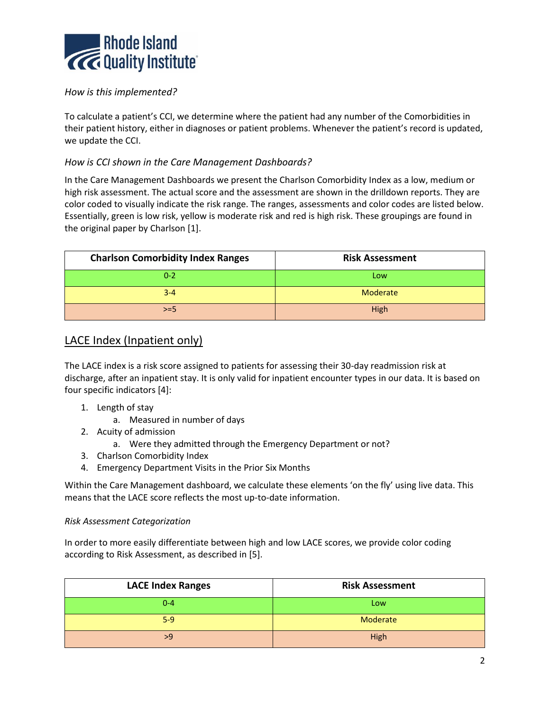

## *How is this implemented?*

To calculate a patient's CCI, we determine where the patient had any number of the Comorbidities in their patient history, either in diagnoses or patient problems. Whenever the patient's record is updated, we update the CCI.

### *How is CCI shown in the Care Management Dashboards?*

In the Care Management Dashboards we present the Charlson Comorbidity Index as a low, medium or high risk assessment. The actual score and the assessment are shown in the drilldown reports. They are color coded to visually indicate the risk range. The ranges, assessments and color codes are listed below. Essentially, green is low risk, yellow is moderate risk and red is high risk. These groupings are found in the original paper by Charlson [1].

| <b>Charlson Comorbidity Index Ranges</b> | <b>Risk Assessment</b> |  |
|------------------------------------------|------------------------|--|
| $0 - 2$                                  | Low                    |  |
| $3 - 4$                                  | Moderate               |  |
| $>= 5$                                   | High                   |  |

# LACE Index (Inpatient only)

The LACE index is a risk score assigned to patients for assessing their 30-day readmission risk at discharge, after an inpatient stay. It is only valid for inpatient encounter types in our data. It is based on four specific indicators [4]:

- 1. Length of stay
	- a. Measured in number of days
- 2. Acuity of admission
	- a. Were they admitted through the Emergency Department or not?
- 3. Charlson Comorbidity Index
- 4. Emergency Department Visits in the Prior Six Months

Within the Care Management dashboard, we calculate these elements 'on the fly' using live data. This means that the LACE score reflects the most up-to-date information.

#### *Risk Assessment Categorization*

In order to more easily differentiate between high and low LACE scores, we provide color coding according to Risk Assessment, as described in [5].

| <b>LACE Index Ranges</b> | <b>Risk Assessment</b> |  |
|--------------------------|------------------------|--|
| $0 - 4$                  | Low                    |  |
| $5-9$                    | Moderate               |  |
| >9                       | High                   |  |